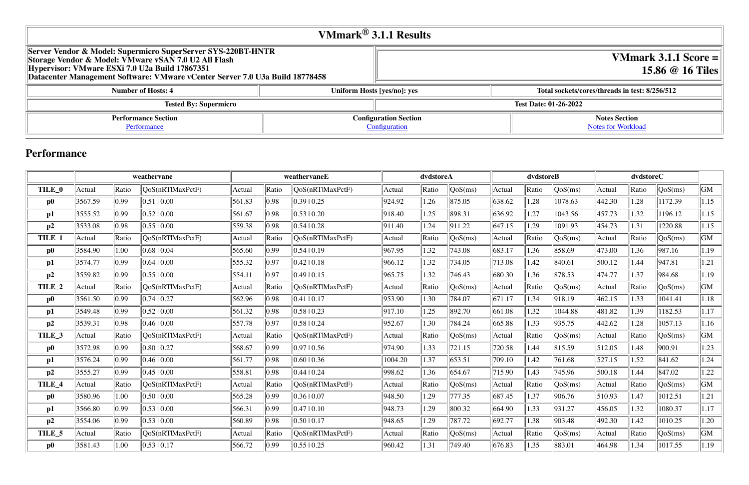# **VMmark 3.1.1 Score = 15.86 @ 16 Tiles**

### **Number of Number System Hosts: 8/256/512**

#### **Notes Section** [Notes for Workload](file:///Users/griderr/Documents/ReviewPanel/0208/Supermicro_disclosure_3.html#NotesForWorkload)

| VMmark <sup>®</sup> 3.1.1 Results                                                                                                                                                                                                                      |  |                                               |                        |  |  |  |  |  |
|--------------------------------------------------------------------------------------------------------------------------------------------------------------------------------------------------------------------------------------------------------|--|-----------------------------------------------|------------------------|--|--|--|--|--|
| Server Vendor & Model: Supermicro SuperServer SYS-220BT-HNTR<br>Storage Vendor & Model: VMware vSAN 7.0 U2 All Flash<br>Hypervisor: VMware ESXi 7.0 U2a Build 17867351<br>Datacenter Management Software: VMware vCenter Server 7.0 U3a Build 18778458 |  |                                               |                        |  |  |  |  |  |
| <b>Number of Hosts: 4</b>                                                                                                                                                                                                                              |  | Uniform Hosts [yes/no]: yes                   | <b>Total sockets/c</b> |  |  |  |  |  |
| <b>Tested By: Supermicro</b>                                                                                                                                                                                                                           |  | <b>Test Date: 01-26-2022</b>                  |                        |  |  |  |  |  |
| <b>Performance Section</b><br>Performance                                                                                                                                                                                                              |  | <b>Configuration Section</b><br>Configuration |                        |  |  |  |  |  |

# **Performance**

|                   |         |       | weathervane      |        |       | weathervaneE     |         | dvdstoreA |         | dvdstoreB |       |            | dvdstoreC |       |                                |      |
|-------------------|---------|-------|------------------|--------|-------|------------------|---------|-----------|---------|-----------|-------|------------|-----------|-------|--------------------------------|------|
| TILE 0            | Actual  | Ratio | QoS(nRTlMaxPctF) | Actual | Ratio | QoS(nRT MaxPctF) | Actual  | Ratio     | QoS(ms) | Actual    | Ratio | QoS(ms)    | Actual    | Ratio | QoS(ms)                        | GM   |
| $\bf p0$          | 3567.59 | 0.99  | 0.51 0.00        | 561.83 | 0.98  | 0.3910.25        | 924.92  | 1.26      | 875.05  | 638.62    | 1.28  | 1078.63    | 442.30    | 1.28  | 1172.39                        | 1.15 |
| p1                | 3555.52 | 0.99  | 0.52 0.00        | 561.67 | 0.98  | $0.53 \pm 0.20$  | 918.40  | 1.25      | 898.31  | 636.92    | 1.27  | 1043.56    | 457.73    | 1.32  | 1196.12                        | 1.15 |
| p2                | 3533.08 | 0.98  | 0.55 0.00        | 559.38 | 0.98  | 0.5410.28        | 911.40  | 1.24      | 911.22  | 647.15    | 1.29  | 1091.93    | 454.73    | 1.31  | 1220.88                        | 1.15 |
| TILE_1            | Actual  | Ratio | QoS(nRTlMaxPctF) | Actual | Ratio | QoS(nRTlMaxPctF) | Actual  | Ratio     | QoS(ms) | Actual    | Ratio | QoS(ms)    | Actual    | Ratio | QoS(ms)                        | GM   |
| $\bf p0$          | 3584.90 | 1.00  | 0.68 0.04        | 565.60 | 0.99  | 0.5410.19        | 967.95  | 1.32      | 743.08  | 683.17    | 1.36  | 858.69     | 473.00    | 1.36  | 987.16                         | 1.19 |
| p1                | 3574.77 | 0.99  | 0.64 0.00        | 555.32 | 0.97  | $0.42 \mid 0.18$ | 966.12  | 1.32      | 734.05  | 713.08    | 1.42  | 840.61     | 500.12    | 1.44  | 947.81                         | 1.21 |
| p2                | 3559.82 | 0.99  | 0.55 0.00        | 554.11 | 0.97  | 0.49 10.15       | 965.75  | 1.32      | 746.43  | 680.30    | 1.36  | 878.53     | 474.77    | 1.37  | 984.68                         | 1.19 |
| TILE_2            | Actual  | Ratio | QoS(nRTlMaxPctF) | Actual | Ratio | QoS(nRTlMaxPctF) | Actual  | Ratio     | QoS(ms) | Actual    | Ratio | QoS(ms)    | Actual    | Ratio | $\sqrt{\text{QoS}(\text{ms})}$ | GM   |
| $\bf p0$          | 3561.50 | 0.99  | 0.74 10.27       | 562.96 | 0.98  | $ 0.41 $ 0.17    | 953.90  | 1.30      | 784.07  | 671.17    | 1.34  | 918.19     | 462.15    | 1.33  | 1041.41                        | 1.18 |
| p1                | 3549.48 | 0.99  | 0.5210.00        | 561.32 | 0.98  | 0.5810.23        | 917.10  | 1.25      | 892.70  | 661.08    | 1.32  | 1044.88    | 481.82    | 1.39  | 1182.53                        | 1.17 |
| p2                | 3539.31 | 0.98  | 0.4610.00        | 557.78 | 0.97  | 0.5810.24        | 952.67  | 1.30      | 784.24  | 665.88    | 1.33  | 935.75     | 442.62    | 1.28  | 1057.13                        | 1.16 |
| TILE_3            | Actual  | Ratio | QoS(nRTlMaxPctF) | Actual | Ratio | QoS(nRT MaxPctF) | Actual  | Ratio     | QoS(ms) | Actual    | Ratio | QoS(ms)    | Actual    | Ratio | QoS(ms)                        | GM   |
| $\bf p0$          | 3572.98 | 0.99  | 0.8010.27        | 568.67 | 0.99  | 0.97  0.56       | 974.90  | 1.33      | 721.15  | 720.58    | 1.44  | 815.59     | 512.05    | 1.48  | 900.91                         | 1.23 |
| p1                | 3576.24 | 0.99  | 0.46 0.00        | 561.77 | 0.98  | 0.60 0.36        | 1004.20 | 1.37      | 653.51  | 709.10    | 1.42  | 761.68     | 527.15    | 1.52  | 841.62                         | 1.24 |
| p2                | 3555.27 | 0.99  | 0.45 0.00        | 558.81 | 0.98  | 0.44 10.24       | 998.62  | 1.36      | 654.67  | 715.90    | 1.43  | 745.96     | 500.18    | 1.44  | 847.02                         | 1.22 |
| TILE_4            | Actual  | Ratio | QoS(nRTlMaxPctF) | Actual | Ratio | QoS(nRT MaxPctF) | Actual  | Ratio     | QoS(ms) | Actual    | Ratio | QoS(ms)    | Actual    | Ratio | $\sqrt{\text{QoS}(\text{ms})}$ | GM   |
| $\bf p0$          | 3580.96 | 1.00  | 0.50 0.00        | 565.28 | 0.99  | 0.3610.07        | 948.50  | 1.29      | 777.35  | 687.45    | 1.37  | 906.76     | 510.93    | 1.47  | 1012.51                        | 1.21 |
| p1                | 3566.80 | 0.99  | 0.53 0.00        | 566.31 | 0.99  | 0.47 10.10       | 948.73  | 1.29      | 800.32  | 664.90    | 1.33  | 931.27     | 456.05    | 1.32  | 1080.37                        | 1.17 |
| p2                | 3554.06 | 0.99  | 0.5310.00        | 560.89 | 0.98  | 0.50 0.17        | 948.65  | 1.29      | 787.72  | 692.77    | 1.38  | 903.48     | 492.30    | 1.42  | 1010.25                        | 1.20 |
| TILE <sub>5</sub> | Actual  | Ratio | QoS(nRTlMaxPctF) | Actual | Ratio | QoS(nRTlMaxPctF) | Actual  | Ratio     | QoS(ms) | Actual    | Ratio | $\cos(ms)$ | Actual    | Ratio | QoS(ms)                        | GM   |
| $\bf p0$          | 3581.43 | 1.00  | 0.53 0.17        | 566.72 | 0.99  | 0.55 0.25        | 960.42  | 1.31      | 749.40  | 676.83    | 1.35  | 883.01     | 464.98    | 1.34  | 1017.55                        | 1.19 |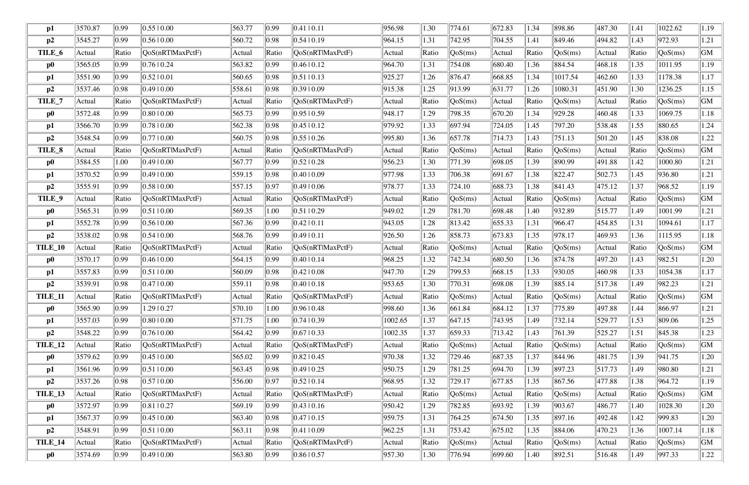| $\mathbf{p1}$  | 3570.87 | 0.99           | 0.5510.00                | 563.77 | 0.99           | 0.41  0.11               | 956.98  | 1.30  | 774.61  | 672.83 | 1.34  | 898.86                         | 487.30 | 1.41  | 1022.62          | 1.19 |
|----------------|---------|----------------|--------------------------|--------|----------------|--------------------------|---------|-------|---------|--------|-------|--------------------------------|--------|-------|------------------|------|
| p2             | 3545.27 | 0.99           | 0.5610.00                | 560.72 | 0.98           | 0.54 10.19               | 964.15  | 1.31  | 742.95  | 704.55 | 1.41  | 849.46                         | 494.82 | 1.43  | 972.93           | 1.21 |
| TILE_6         | Actual  | Ratio          | QoS(nRTlMaxPctF)         | Actual | Ratio          | QoS(nRTlMaxPctF)         | Actual  | Ratio | QoS(ms) | Actual | Ratio | QoS(ms)                        | Actual | Ratio | QoS(ms)          | GM   |
| $\bf p0$       | 3565.05 | 0.99           | 0.7610.24                | 563.82 | 0.99           | 0.4610.12                | 964.70  | 1.31  | 754.08  | 680.40 | 1.36  | 884.54                         | 468.18 | 1.35  | 1011.95          | 1.19 |
| p1             | 3551.90 | 0.99           | 0.52 0.01                | 560.65 | 0.98           | $ 0.51 $ 0.13            | 925.27  | 1.26  | 876.47  | 668.85 | 1.34  | 1017.54                        | 462.60 | 1.33  | 1178.38          | 1.17 |
| p2             | 3537.46 | 0.98           | 0.49 0.00                | 558.61 | 0.98           | 0.3910.09                | 915.38  | 1.25  | 913.99  | 631.77 | 1.26  | 1080.31                        | 451.90 | 1.30  | 1236.25          | 1.15 |
| TILE_7         | Actual  | Ratio          | QoS(nRTlMaxPctF)         | Actual | Ratio          | QoS(nRTlMaxPctF)         | Actual  | Ratio | QoS(ms) | Actual | Ratio | QoS(ms)                        | Actual | Ratio | QoS(ms)          | GM   |
| $\bf p0$       | 3572.48 | 0.99           | 0.80 0.00                | 565.73 | 0.99           | 0.9510.59                | 948.17  | 1.29  | 798.35  | 670.20 | 1.34  | 929.28                         | 460.48 | 1.33  | 1069.75          | 1.18 |
| $\mathbf{p1}$  | 3566.70 | 0.99           | 0.78 0.00                | 562.38 | 0.98           | 0.45 10.12               | 979.92  | 1.33  | 697.94  | 724.05 | 1.45  | 797.20                         | 538.48 | 1.55  | 880.65           | 1.24 |
| p2             | 3548.54 | $ 0.99\rangle$ | 0.7710.00                | 560.75 | 0.98           | 0.5510.26                | 995.80  | 1.36  | 657.78  | 714.73 | 1.43  | 751.13                         | 501.20 | 1.45  | 838.08           | 1.22 |
| TILE_8         | Actual  | Ratio          | QoS(nRTlMaxPctF)         | Actual | Ratio          | QoS(nRTlMaxPctF)         | Actual  | Ratio | QoS(ms) | Actual | Ratio | QoS(ms)                        | Actual | Ratio | QoS(ms)          | GM   |
| $\bf p0$       | 3584.55 | 1.00           | 0.49 0.00                | 567.77 | 0.99           | 0.5210.28                | 956.23  | 1.30  | 771.39  | 698.05 | 1.39  | 890.99                         | 491.88 | 1.42  | 1000.80          | 1.21 |
| $\mathbf{p1}$  | 3570.52 | $ 0.99\rangle$ | 0.4910.00                | 559.15 | 0.98           | 0.40 0.09                | 977.98  | 1.33  | 706.38  | 691.67 | 1.38  | 822.47                         | 502.73 | 1.45  | 936.80           | 1.21 |
| p2             | 3555.91 | 0.99           | 0.58 0.00                | 557.15 | 0.97           | 0.4910.06                | 978.77  | 1.33  | 724.10  | 688.73 | 1.38  | 841.43                         | 475.12 | 1.37  | 968.52           | 1.19 |
| TILE_9         | Actual  | Ratio          | QoS(nRTlMaxPctF)         | Actual | Ratio          | QoS(nRTlMaxPctF)         | Actual  | Ratio | QoS(ms) | Actual | Ratio | QoS(ms)                        | Actual | Ratio | QoS(ms)          | GM   |
| $\bf p0$       | 3565.31 | 0.99           | 0.51 0.00                | 569.35 | 1.00           | $ 0.51 $ 0.29            | 949.02  | 1.29  | 781.70  | 698.48 | 1.40  | 932.89                         | 515.77 | 1.49  | 1001.99          | 1.21 |
| p1             | 3552.78 | 0.99           | 0.56 0.00                | 567.36 | 0.99           | 0.42 10.11               | 943.05  | 1.28  | 813.42  | 655.33 | 1.31  | 966.47                         | 454.85 | 1.31  | 1094.61          | 1.17 |
| p2             | 3538.02 | 0.98           | 0.54 0.00                | 568.76 | 0.99           | 0.49 0.11                | 926.50  | 1.26  | 858.73  | 673.83 | 1.35  | 978.17                         | 469.93 | 1.36  | 1115.95          | 1.18 |
| TILE_10        | Actual  | Ratio          | QoS(nRTlMaxPctF)         | Actual | Ratio          | QoS(nRTlMaxPctF)         | Actual  | Ratio | QoS(ms) | Actual | Ratio | $\sqrt{\text{QoS}(\text{ms})}$ | Actual | Ratio | QoS(ms)          | GM   |
| $\bf p0$       | 3570.17 | 0.99           | 0.4610.00                | 564.15 | 0.99           | 0.40 10.14               | 968.25  | 1.32  | 742.34  | 680.50 | 1.36  | 874.78                         | 497.20 | 1.43  | 982.51           | 1.20 |
| p1             | 3557.83 | 0.99           | 0.51 0.00                | 560.09 | 0.98           | 0.4210.08                | 947.70  | 1.29  | 799.53  | 668.15 | 1.33  | 930.05                         | 460.98 | 1.33  | 1054.38          | 1.17 |
| p2             | 3539.91 | 0.98           | 0.4710.00                | 559.11 | 0.98           | 0.4010.18                | 953.65  | 1.30  | 770.31  | 698.08 | 1.39  | 885.14                         | 517.38 | 1.49  | 982.23           | 1.21 |
| <b>TILE_11</b> | Actual  | Ratio          | $\sqrt{QoS(nRT)MaxPctF}$ | Actual | Ratio          | [QoS(nRTIMaxPetF)]       | Actual  | Ratio | QoS(ms) | Actual | Ratio | $\sqrt{\text{QoS}(\text{ms})}$ | Actual | Ratio | $\sqrt{QoS(ms)}$ | GM   |
| $\bf p0$       | 3565.90 | 0.99           | 1.29   0.27              | 570.10 | 1.00           | 0.96 0.48                | 998.60  | 1.36  | 661.84  | 684.12 | 1.37  | 775.89                         | 497.88 | 1.44  | 866.97           | 1.21 |
| p1             | 3557.03 | 0.99           | 0.80 0.00                | 571.75 | 1.00           | 0.74 0.39                | 1002.65 | 1.37  | 647.15  | 743.95 | 1.49  | 732.14                         | 529.77 | 1.53  | 809.06           | 1.25 |
| p2             | 3548.22 | 0.99           | 0.76 0.00                | 564.42 | $ 0.99\rangle$ | 0.67 0.33                | 1002.35 | 1.37  | 659.33  | 713.42 | 1.43  | 761.39                         | 525.27 | 1.51  | 845.38           | 1.23 |
| <b>TILE_12</b> | Actual  | Ratio          | QoS(nRTlMaxPctF)         | Actual | Ratio          | QoS(nRTlMaxPctF)         | Actual  | Ratio | QoS(ms) | Actual | Ratio | QoS(ms)                        | Actual | Ratio | QoS(ms)          | GM   |
| $\bf p0$       | 3579.62 | 0.99           | 0.45 0.00                | 565.02 | 0.99           | 0.82 10.45               | 970.38  | 1.32  | 729.46  | 687.35 | 1.37  | 844.96                         | 481.75 | 1.39  | 941.75           | 1.20 |
| p1             | 3561.96 | $ 0.99\rangle$ | 0.51 0.00                | 563.45 | 0.98           | 0.4910.25                | 950.75  | 1.29  | 781.25  | 694.70 | 1.39  | 897.23                         | 517.73 | 1.49  | 980.80           | 1.21 |
| p2             | 3537.26 | 0.98           | 0.5710.00                | 556.00 | 0.97           | 0.52 10.14               | 968.95  | 1.32  | 729.17  | 677.85 | 1.35  | 867.56                         | 477.88 | 1.38  | 964.72           | 1.19 |
| TILE_13        | Actual  | Ratio          | QoS(nRT MaxPctF)         | Actual | Ratio          | QoS(nRTlMaxPctF)         | Actual  | Ratio | QoS(ms) | Actual | Ratio | QoS(ms)                        | Actual | Ratio | QoS(ms)          | GM   |
| $\bf p0$       | 3572.97 | 0.99           | 0.81 0.27                | 569.19 | $ 0.99\rangle$ | 0.43 10.16               | 950.42  | 1.29  | 782.85  | 693.92 | 1.39  | 903.67                         | 486.77 | 1.40  | 1028.30          | 1.20 |
| p1             | 3567.37 | 0.99           | 0.4510.00                | 563.40 | 0.98           | 0.47 10.15               | 959.75  | 1.31  | 764.25  | 674.50 | 1.35  | 897.16                         | 492.48 | 1.42  | 999.83           | 1.20 |
| p2             | 3548.91 | 0.99           | 0.51 0.00                | 563.11 | 0.98           | 0.41 0.09                | 962.25  | 1.31  | 753.42  | 675.02 | 1.35  | 884.06                         | 470.23 | 1.36  | 1007.14          | 1.18 |
| TILE_14        | Actual  | Ratio          | QoS(nRTlMaxPctF)         | Actual | Ratio          | $\sqrt{QoS(nRT)MaxPctF}$ | Actual  | Ratio | QoS(ms) | Actual | Ratio | $\sqrt{QoS(ms)}$               | Actual | Ratio | QoS(ms)          | GM   |
| $\bf p0$       | 3574.69 | 0.99           | 0.4910.00                | 563.80 | 0.99           | 0.8610.57                | 957.30  | 1.30  | 776.94  | 699.60 | 1.40  | $\ 892.51\ $                   | 516.48 | 1.49  | 997.33           | 1.22 |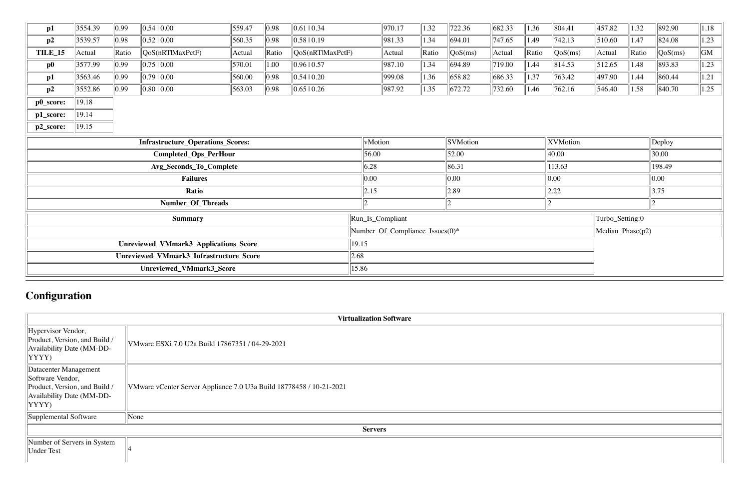| p1                                       | 3554.39 | 0.99  | 0.5410.00        | $\ $ 559.47          | 0.98    | $ 0.61 $ 0.34    | 970.17          | 1.32  | 722.36     | 682.33   | 1.36  | 804.41  | 457.82      | 1.32       | 892.90           | 1.18 |
|------------------------------------------|---------|-------|------------------|----------------------|---------|------------------|-----------------|-------|------------|----------|-------|---------|-------------|------------|------------------|------|
| p2                                       | 3539.57 | 0.98  | $0.52 \mid 0.00$ | 560.35               | 0.98    | 0.58 0.19        | 981.33          | 1.34  | 694.01     | 747.65   | 1.49  | 742.13  | 510.60      | 1.47       | $\ 824.08\ $     | 1.23 |
| TILE_15                                  | Actual  | Ratio | QoS(nRTIMaxPctF) | Actual               | Ratio   | QoS(nRTIMaxPctF) | Actual          | Ratio | $\cos(ms)$ | Actual   | Ratio | QoS(ms) | Actual      | $\ $ Ratio | QoS(ms)          | GM   |
| $\bf p0$                                 | 3577.99 | 0.99  | 0.7510.00        | 570.01               | 1.00    | 0.96 0.57        | 987.10          | 1.34  | 694.89     | 719.00   | 1.44  | 814.53  | 512.65      | 1.48       | $ 893.83\rangle$ | 1.23 |
| $\mathbf{p1}$                            | 3563.46 | 0.99  | 0.7910.00        | 560.00               | 0.98    | 0.54 0.20        | 999.08          | 1.36  | 658.82     | 686.33   | 1.37  | 763.42  | 497.90      | 1.44       | 860.44           | 1.21 |
| p2                                       | 3552.86 | 0.99  | 0.8010.00        | $\vert 563.03 \vert$ | 0.98    | 0.65 0.26        | 987.92          | 1.35  | 672.72     | 732.60   | 1.46  | 762.16  | 546.40      | 1.58       | 840.70           | 1.25 |
| p0_score:                                | 19.18   |       |                  |                      |         |                  |                 |       |            |          |       |         |             |            |                  |      |
| p1_score:                                | 19.14   |       |                  |                      |         |                  |                 |       |            |          |       |         |             |            |                  |      |
| p2_score:                                | 19.15   |       |                  |                      |         |                  |                 |       |            |          |       |         |             |            |                  |      |
| <b>Infrastructure_Operations_Scores:</b> |         |       |                  |                      | vMotion |                  | <b>SVMotion</b> |       |            | XVMotion |       |         | $\ $ Deploy |            |                  |      |

| <b>Infrastructure_Operations_Scores:</b> | vMotion                         | <b>SVMotion</b> | <b>XVMotion</b>    |                              | $\vert$ Deploy |  |
|------------------------------------------|---------------------------------|-----------------|--------------------|------------------------------|----------------|--|
| Completed_Ops_PerHour                    | 56.00                           | 52.00           | 40.00              |                              | 30.00          |  |
| Avg_Seconds_To_Complete                  | 6.28                            | 86.31           | $\ 113.63\ $       |                              | 198.49         |  |
| <b>Failures</b>                          | $\ 0.00$                        | 0.00            | $\vert 0.00 \vert$ |                              | $\ 0.00\ $     |  |
| Ratio                                    | 2.15                            | $ 2.89\rangle$  | 2.22               |                              | 3.75           |  |
| Number_Of_Threads                        |                                 |                 |                    |                              |                |  |
| <b>Summary</b>                           | Run_Is_Compliant                |                 |                    | Turbo_Setting:0              |                |  |
|                                          | Number_Of_Compliance_Issues(0)* |                 |                    | $ \text{Median\_Phase}(p2) $ |                |  |
| Unreviewed_VMmark3_Applications_Score    | 19.15                           |                 |                    |                              |                |  |
| Unreviewed_VMmark3_Infrastructure_Score  | 2.68                            |                 |                    |                              |                |  |
| Unreviewed_VMmark3_Score                 | 15.86                           |                 |                    |                              |                |  |

# **Configuration**

|                                                                                                                           | <b>Virtualization Software</b>                                      |
|---------------------------------------------------------------------------------------------------------------------------|---------------------------------------------------------------------|
| Hypervisor Vendor,<br>Product, Version, and Build /<br>Availability Date (MM-DD-<br>$ YYYY\rangle$                        | VMware ESXi 7.0 U2a Build 17867351 / 04-29-2021                     |
| Datacenter Management<br>Software Vendor,<br>Product, Version, and Build /<br>Availability Date (MM-DD-<br>$ YYYY\rangle$ | VMware vCenter Server Appliance 7.0 U3a Build 18778458 / 10-21-2021 |
| Supplemental Software                                                                                                     | None                                                                |
|                                                                                                                           | <b>Servers</b>                                                      |
| Number of Servers in System<br>Under Test                                                                                 |                                                                     |

| <u> 1980 - Johann Stoff, deutscher Stoff, der Stoff, der Stoff, der Stoff, der Stoff, der Stoff, der Stoff, der S</u> |  |
|-----------------------------------------------------------------------------------------------------------------------|--|
|                                                                                                                       |  |
|                                                                                                                       |  |
|                                                                                                                       |  |
|                                                                                                                       |  |
|                                                                                                                       |  |
|                                                                                                                       |  |
|                                                                                                                       |  |
|                                                                                                                       |  |
|                                                                                                                       |  |
|                                                                                                                       |  |
|                                                                                                                       |  |
|                                                                                                                       |  |
|                                                                                                                       |  |
|                                                                                                                       |  |
|                                                                                                                       |  |
|                                                                                                                       |  |
|                                                                                                                       |  |
|                                                                                                                       |  |
|                                                                                                                       |  |
|                                                                                                                       |  |
|                                                                                                                       |  |
|                                                                                                                       |  |
|                                                                                                                       |  |
|                                                                                                                       |  |
|                                                                                                                       |  |
|                                                                                                                       |  |
|                                                                                                                       |  |
|                                                                                                                       |  |
|                                                                                                                       |  |
|                                                                                                                       |  |
|                                                                                                                       |  |
|                                                                                                                       |  |
|                                                                                                                       |  |
|                                                                                                                       |  |
|                                                                                                                       |  |
|                                                                                                                       |  |
|                                                                                                                       |  |
|                                                                                                                       |  |
|                                                                                                                       |  |
|                                                                                                                       |  |
|                                                                                                                       |  |
|                                                                                                                       |  |
|                                                                                                                       |  |
|                                                                                                                       |  |
|                                                                                                                       |  |
|                                                                                                                       |  |
|                                                                                                                       |  |
|                                                                                                                       |  |
|                                                                                                                       |  |
|                                                                                                                       |  |
|                                                                                                                       |  |
|                                                                                                                       |  |
|                                                                                                                       |  |
|                                                                                                                       |  |
|                                                                                                                       |  |
|                                                                                                                       |  |
|                                                                                                                       |  |
|                                                                                                                       |  |
|                                                                                                                       |  |
|                                                                                                                       |  |
|                                                                                                                       |  |
|                                                                                                                       |  |
|                                                                                                                       |  |
|                                                                                                                       |  |
|                                                                                                                       |  |
|                                                                                                                       |  |
|                                                                                                                       |  |
|                                                                                                                       |  |
|                                                                                                                       |  |
|                                                                                                                       |  |
|                                                                                                                       |  |
|                                                                                                                       |  |
|                                                                                                                       |  |
|                                                                                                                       |  |
|                                                                                                                       |  |
|                                                                                                                       |  |
|                                                                                                                       |  |
|                                                                                                                       |  |
|                                                                                                                       |  |
|                                                                                                                       |  |
|                                                                                                                       |  |
|                                                                                                                       |  |
|                                                                                                                       |  |
|                                                                                                                       |  |
|                                                                                                                       |  |
|                                                                                                                       |  |
|                                                                                                                       |  |
|                                                                                                                       |  |
|                                                                                                                       |  |
|                                                                                                                       |  |
|                                                                                                                       |  |
|                                                                                                                       |  |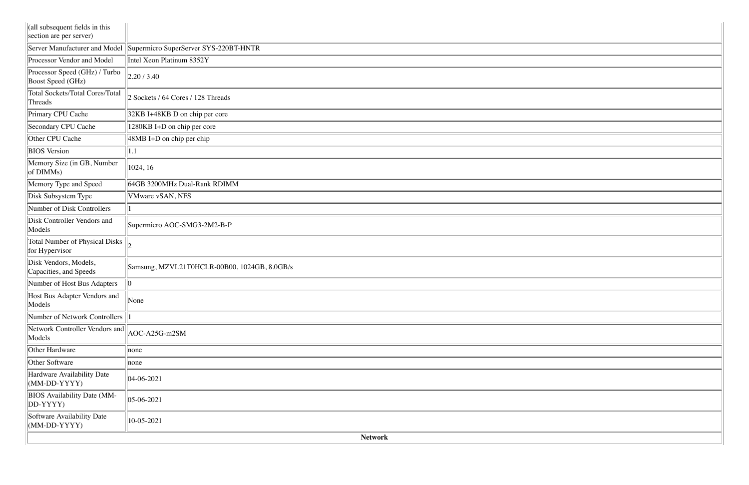|                                                           | <b>Network</b>                               |
|-----------------------------------------------------------|----------------------------------------------|
| Software Availability Date<br>$(MM-DD-YYYY)$              | 10-05-2021                                   |
| <b>BIOS</b> Availability Date (MM-<br>DD-YYYY)            | $ 05-06-2021$                                |
| Hardware Availability Date<br>$(MM-DD-YYYY)$              | $ 04-06-2021$                                |
| Other Software                                            | none                                         |
| Other Hardware                                            | none                                         |
| Network Controller Vendors and<br>Models                  | AOC-A25G-m2SM                                |
| Number of Network Controllers                             |                                              |
| Host Bus Adapter Vendors and<br>Models                    | None                                         |
| Number of Host Bus Adapters                               | 0                                            |
| Disk Vendors, Models,<br>Capacities, and Speeds           | Samsung, MZVL21T0HCLR-00B00, 1024GB, 8.0GB/s |
| Total Number of Physical Disks<br>for Hypervisor          |                                              |
| Disk Controller Vendors and<br>Models                     | Supermicro AOC-SMG3-2M2-B-P                  |
| Number of Disk Controllers                                |                                              |
| Disk Subsystem Type                                       | VMware vSAN, NFS                             |
| Memory Type and Speed                                     | 64GB 3200MHz Dual-Rank RDIMM                 |
| Memory Size (in GB, Number<br>of DIMMs)                   | 1024, 16                                     |
| <b>BIOS</b> Version                                       | 1.1                                          |
| Other CPU Cache                                           | 48MB I+D on chip per chip                    |
| Secondary CPU Cache                                       | 1280KB I+D on chip per core                  |
| Primary CPU Cache                                         | 32KB I+48KB D on chip per core               |
| <b>Total Sockets/Total Cores/Total</b><br>Threads         | 2 Sockets / 64 Cores / 128 Threads           |
| Processor Speed (GHz) / Turbo<br>Boost Speed (GHz)        | 2.20/3.40                                    |
| Processor Vendor and Model                                | Intel Xeon Platinum 8352Y                    |
| Server Manufacturer and Model                             | Supermicro SuperServer SYS-220BT-HNTR        |
| (all subsequent fields in this<br>section are per server) |                                              |

| <b>STATISTICS</b>                                                                                               |  |
|-----------------------------------------------------------------------------------------------------------------|--|
|                                                                                                                 |  |
| the contract of the contract of the contract of the contract of the contract of the contract of the contract of |  |
|                                                                                                                 |  |
|                                                                                                                 |  |
| ,我们也不会有什么?""我们的人,我们也不会有什么?""我们的人,我们也不会有什么?""我们的人,我们也不会有什么?""我们的人,我们也不会有什么?""我们的人                                |  |
|                                                                                                                 |  |
|                                                                                                                 |  |
|                                                                                                                 |  |
|                                                                                                                 |  |
|                                                                                                                 |  |
|                                                                                                                 |  |
|                                                                                                                 |  |
|                                                                                                                 |  |
|                                                                                                                 |  |
|                                                                                                                 |  |
|                                                                                                                 |  |
|                                                                                                                 |  |
|                                                                                                                 |  |
|                                                                                                                 |  |
| the contract of the contract of the contract of the contract of the contract of the contract of the contract of |  |
|                                                                                                                 |  |
|                                                                                                                 |  |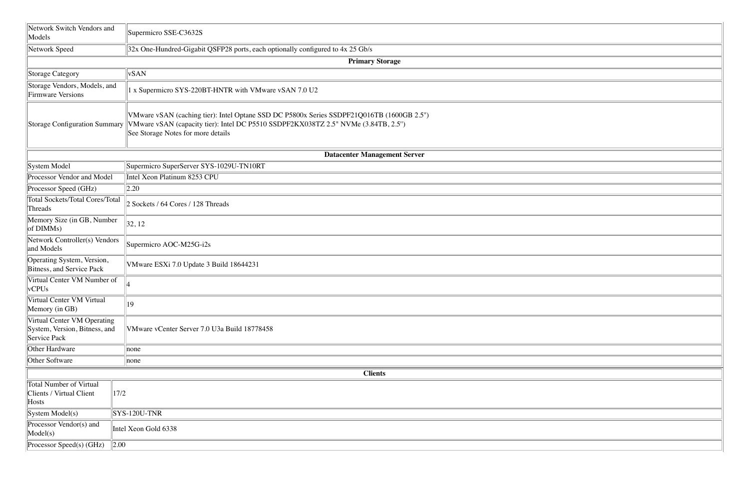| Network Switch Vendors and<br>Models                                         | Supermicro SSE-C3632S                                                                                                                                                                                                                               |
|------------------------------------------------------------------------------|-----------------------------------------------------------------------------------------------------------------------------------------------------------------------------------------------------------------------------------------------------|
| Network Speed                                                                | 32x One-Hundred-Gigabit QSFP28 ports, each optionally configured to 4x 25 Gb/s                                                                                                                                                                      |
|                                                                              | <b>Primary Storage</b>                                                                                                                                                                                                                              |
| Storage Category                                                             | vSAN                                                                                                                                                                                                                                                |
| Storage Vendors, Models, and<br>Firmware Versions                            | 1 x Supermicro SYS-220BT-HNTR with VMware vSAN 7.0 U2                                                                                                                                                                                               |
|                                                                              | VMware vSAN (caching tier): Intel Optane SSD DC P5800x Series SSDPF21Q016TB (1600GB 2.5")<br>Storage Configuration Summary VMware vSAN (capacity tier): Intel DC P5510 SSDPF2KX038TZ 2.5" NVMe (3.84TB, 2.5")<br>See Storage Notes for more details |
|                                                                              | <b>Datacenter Management Server</b>                                                                                                                                                                                                                 |
| System Model                                                                 | Supermicro SuperServer SYS-1029U-TN10RT                                                                                                                                                                                                             |
| Processor Vendor and Model                                                   | Intel Xeon Platinum 8253 CPU                                                                                                                                                                                                                        |
| Processor Speed (GHz)                                                        | 2.20                                                                                                                                                                                                                                                |
| <b>Total Sockets/Total Cores/Total</b><br>Threads                            | 2 Sockets / 64 Cores / 128 Threads                                                                                                                                                                                                                  |
| Memory Size (in GB, Number<br>of DIMMs)                                      | 32, 12                                                                                                                                                                                                                                              |
| Network Controller(s) Vendors<br>and Models                                  | Supermicro AOC-M25G-i2s                                                                                                                                                                                                                             |
| Operating System, Version,<br>Bitness, and Service Pack                      | VMware ESXi 7.0 Update 3 Build 18644231                                                                                                                                                                                                             |
| Virtual Center VM Number of<br>vCPUs                                         |                                                                                                                                                                                                                                                     |
| Virtual Center VM Virtual<br>Memory (in GB)                                  | $ 19\rangle$                                                                                                                                                                                                                                        |
| Virtual Center VM Operating<br>System, Version, Bitness, and<br>Service Pack | VMware vCenter Server 7.0 U3a Build 18778458                                                                                                                                                                                                        |
| Other Hardware                                                               | none                                                                                                                                                                                                                                                |
| Other Software                                                               | none                                                                                                                                                                                                                                                |
|                                                                              | <b>Clients</b>                                                                                                                                                                                                                                      |
| <b>Total Number of Virtual</b><br><b>Clients / Virtual Client</b><br>Hosts   | 17/2                                                                                                                                                                                                                                                |
| $\left  \text{System Model(s)} \right $                                      | $SYS-120U-TNR$                                                                                                                                                                                                                                      |
| Processor Vendor(s) and<br>Model(s)                                          | Intel Xeon Gold 6338                                                                                                                                                                                                                                |
| Processor Speed(s) (GHz)                                                     | $\vert$ 2.00                                                                                                                                                                                                                                        |
|                                                                              |                                                                                                                                                                                                                                                     |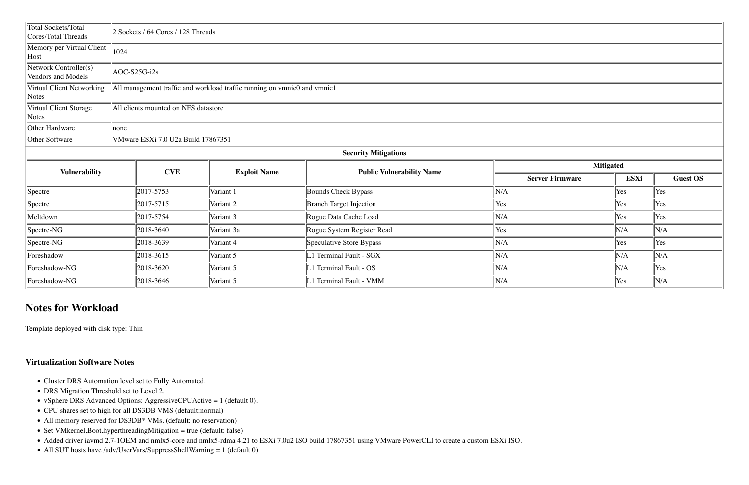| Total Sockets/Total<br>Cores/Total Threads  | 2 Sockets / 64 Cores / 128 Threads   |                                                                          |                                  |                        |      |                 |  |  |  |  |  |  |  |
|---------------------------------------------|--------------------------------------|--------------------------------------------------------------------------|----------------------------------|------------------------|------|-----------------|--|--|--|--|--|--|--|
| Memory per Virtual Client<br>Host           | 1024                                 |                                                                          |                                  |                        |      |                 |  |  |  |  |  |  |  |
| Network Controller(s)<br>Vendors and Models | AOC-S25G-i2s                         |                                                                          |                                  |                        |      |                 |  |  |  |  |  |  |  |
| Virtual Client Networking<br>Notes          |                                      | All management traffic and workload traffic running on vmnic0 and vmnic1 |                                  |                        |      |                 |  |  |  |  |  |  |  |
| Virtual Client Storage<br>Notes             | All clients mounted on NFS datastore |                                                                          |                                  |                        |      |                 |  |  |  |  |  |  |  |
| Other Hardware                              | $\parallel$ none                     |                                                                          |                                  |                        |      |                 |  |  |  |  |  |  |  |
| Other Software                              | VMware ESXi 7.0 U2a Build 17867351   |                                                                          |                                  |                        |      |                 |  |  |  |  |  |  |  |
|                                             |                                      |                                                                          | <b>Security Mitigations</b>      |                        |      |                 |  |  |  |  |  |  |  |
| <b>Vulnerability</b>                        | <b>CVE</b>                           | <b>Exploit Name</b>                                                      | <b>Public Vulnerability Name</b> | <b>Mitigated</b>       |      |                 |  |  |  |  |  |  |  |
|                                             |                                      |                                                                          |                                  | <b>Server Firmware</b> | ESXi | <b>Guest OS</b> |  |  |  |  |  |  |  |
| Spectre                                     | 2017-5753                            | Variant 1                                                                | <b>Bounds Check Bypass</b>       | N/A                    | Yes  | Yes             |  |  |  |  |  |  |  |
| Spectre                                     | 2017-5715                            | Variant 2                                                                | <b>Branch Target Injection</b>   | Yes                    | Yes  | Yes             |  |  |  |  |  |  |  |
| Meltdown                                    | 2017-5754                            | Variant 3                                                                | Rogue Data Cache Load            | N/A                    | Yes  | Yes             |  |  |  |  |  |  |  |
| Spectre-NG                                  | 2018-3640                            | Variant 3a                                                               | Rogue System Register Read       | Yes                    | N/A  | N/A             |  |  |  |  |  |  |  |
| Spectre-NG                                  | 2018-3639                            | Variant 4                                                                | Speculative Store Bypass         | N/A                    | Yes  | Yes             |  |  |  |  |  |  |  |
| Foreshadow                                  | 2018-3615                            | Variant 5                                                                | 1 Terminal Fault - SGX           | N/A                    | N/A  | N/A             |  |  |  |  |  |  |  |
| Foreshadow-NG                               | 2018-3620                            | Variant 5                                                                | 1 Terminal Fault - OS            | N/A                    | N/A  | Yes             |  |  |  |  |  |  |  |
| Foreshadow-NG                               | 2018-3646                            | Variant 5                                                                | 1 Terminal Fault - VMM           | N/A                    | Yes  | N/A             |  |  |  |  |  |  |  |

- Cluster DRS Automation level set to Fully Automated.
- DRS Migration Threshold set to Level 2.
- vSphere DRS Advanced Options: AggressiveCPUActive = 1 (default 0).
- CPU shares set to high for all DS3DB VMS (default:normal)
- All memory reserved for DS3DB\* VMs. (default: no reservation)
- Set VMkernel.Boot.hyperthreadingMitigation = true (default: false)
- Added driver iavmd 2.7-1OEM and nmlx5-core and nmlx5-rdma 4.21 to ESXi 7.0u2 ISO build 17867351 using VMware PowerCLI to create a custom ESXi ISO.
- All SUT hosts have /adv/UserVars/SuppressShellWarning = 1 (default 0)

| Mitigated |
|-----------|
|-----------|

# **Notes for Workload**

Template deployed with disk type: Thin

# **Virtualization Software Notes**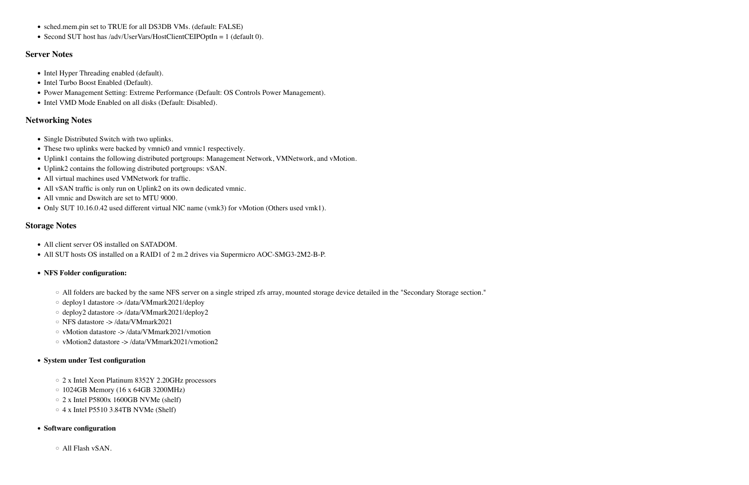- sched.mem.pin set to TRUE for all DS3DB VMs. (default: FALSE)
- Second SUT host has /adv/UserVars/HostClientCEIPOptIn = 1 (default 0).

#### **Server Notes**

- Intel Hyper Threading enabled (default).
- Intel Turbo Boost Enabled (Default).
- Power Management Setting: Extreme Performance (Default: OS Controls Power Management).
- Intel VMD Mode Enabled on all disks (Default: Disabled).

#### **Networking Notes**

- Single Distributed Switch with two uplinks.
- These two uplinks were backed by vmnic0 and vmnic1 respectively.
- Uplink1 contains the following distributed portgroups: Management Network, VMNetwork, and vMotion.
- Uplink2 contains the following distributed portgroups: vSAN.
- All virtual machines used VMNetwork for traffic.
- All vSAN traffic is only run on Uplink2 on its own dedicated vmnic.
- All vmnic and Dswitch are set to MTU 9000.
- Only SUT 10.16.0.42 used different virtual NIC name (vmk3) for vMotion (Others used vmk1).

- 2 x Intel Xeon Platinum 8352Y 2.20GHz processors
- 1024GB Memory (16 x 64GB 3200MHz)
- 2 x Intel P5800x 1600GB NVMe (shelf)
- $\circ$  4 x Intel P5510 3.84TB NVMe (Shelf)

#### **Storage Notes**

- All client server OS installed on SATADOM.
- All SUT hosts OS installed on a RAID1 of 2 m.2 drives via Supermicro AOC-SMG3-2M2-B-P.

#### • **NFS Folder configuration:**

- All folders are backed by the same NFS server on a single striped zfs array, mounted storage device detailed in the "Secondary Storage section."
- deploy1 datastore -> /data/VMmark2021/deploy
- deploy2 datastore -> /data/VMmark2021/deploy2
- NFS datastore -> /data/VMmark2021
- vMotion datastore -> /data/VMmark2021/vmotion
- vMotion2 datastore -> /data/VMmark2021/vmotion2

#### • **System under Test configuration**

#### • **Software configuration**

◦ All Flash vSAN.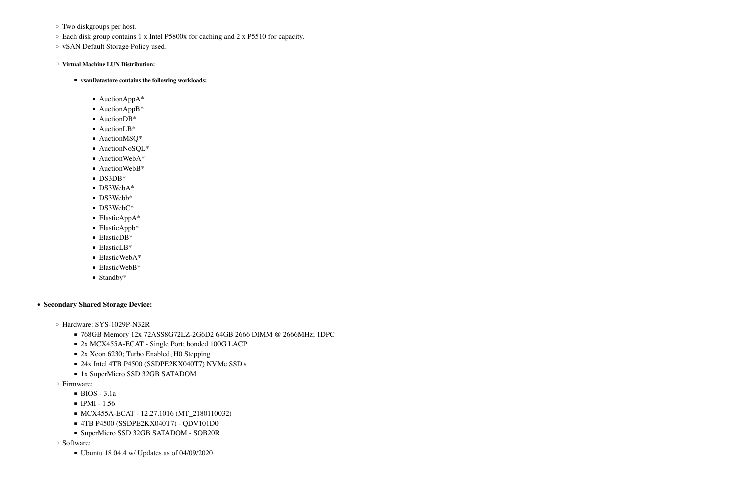- Two diskgroups per host.
- Each disk group contains 1 x Intel P5800x for caching and 2 x P5510 for capacity.
- vSAN Default Storage Policy used.

◦ **Virtual Machine LUN Distribution:**

- **vsanDatastore contains the following workloads:** 
	- AuctionAppA\*
	- AuctionAppB<sup>\*</sup>
	- AuctionDB<sup>\*</sup>
	- AuctionLB<sup>\*</sup>
	- AuctionMSQ<sup>\*</sup>
	- AuctionNoSQL\*
	- AuctionWebA\*
	- AuctionWebB\*
	- DS3DB\*
	- DS3WebA\*
	- DS3Webb<sup>\*</sup>
	- DS3WebC<sup>\*</sup>
	- ElasticAppA\*
	- ElasticAppb\*
	- ElasticDB\*
	- ElasticLB\*
	- ElasticWebA\*
	- ElasticWebB\*
	- $\blacksquare$  Standby\*

- Hardware: SYS-1029P-N32R
	- 768GB Memory 12x 72ASS8G72LZ-2G6D2 64GB 2666 DIMM @ 2666MHz; 1DPC
	- 2x MCX455A-ECAT Single Port; bonded 100G LACP
	- 2x Xeon 6230; Turbo Enabled, H0 Stepping
	- 24x Intel 4TB P4500 (SSDPE2KX040T7) NVMe SSD's
	- 1x SuperMicro SSD 32GB SATADOM
- Firmware:
	- $\blacksquare$  BIOS 3.1a
	- $\blacksquare$  IPMI 1.56
	- MCX455A-ECAT 12.27.1016 (MT\_2180110032)
	- 4TB P4500 (SSDPE2KX040T7) QDV101D0
	- SuperMicro SSD 32GB SATADOM SOB20R
- Software:
	- $\bullet$  Ubuntu 18.04.4 w/ Updates as of 04/09/2020

• **Secondary Shared Storage Device:**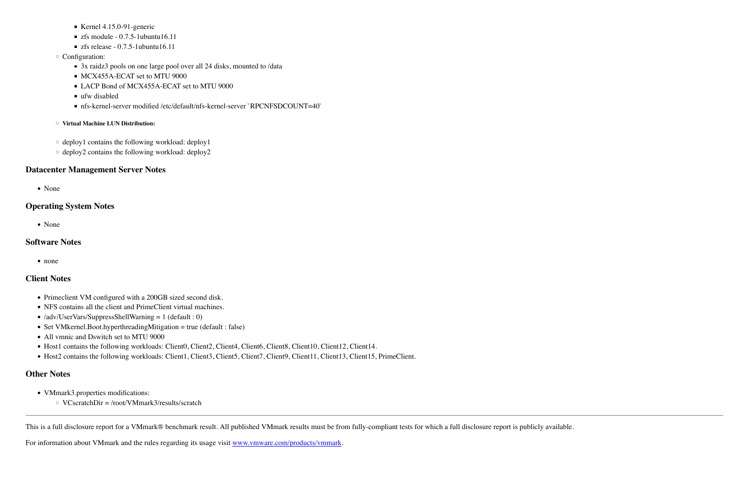- $\blacktriangleright$  Kernel 4.15.0-91-generic
- $\blacksquare$  zfs module 0.7.5-1ubuntu16.11
- $\blacksquare$  zfs release 0.7.5-1ubuntu16.11
- Configuration:
	- 3x raidz3 pools on one large pool over all 24 disks, mounted to /data
	- MCX455A-ECAT set to MTU 9000
	- LACP Bond of MCX455A-ECAT set to MTU 9000
	- $\blacksquare$  ufw disabled
	- nfs-kernel-server modified /etc/default/nfs-kernel-server `RPCNFSDCOUNT=40`
- **Virtual Machine LUN Distribution:**
- deploy1 contains the following workload: deploy1
- deploy2 contains the following workload: deploy2

- Primeclient VM configured with a 200GB sized second disk.
- NFS contains all the client and PrimeClient virtual machines.
- /adv/UserVars/SuppressShellWarning = 1 (default : 0)
- Set VMkernel.Boot.hyperthreadingMitigation = true (default : false)
- All vmnic and Dswitch set to MTU 9000
- Host1 contains the following workloads: Client0, Client2, Client4, Client6, Client8, Client10, Client12, Client14.
- Host2 contains the following workloads: Client1, Client3, Client5, Client7, Client9, Client11, Client13, Client15, PrimeClient.

## **Datacenter Management Server Notes**

• None

# **Operating System Notes**

• None

## **Software Notes**

• none

# **Client Notes**

# **Other Notes**

- VMmark3.properties modifications:
	- VCscratchDir = /root/VMmark3/results/scratch

This is a full disclosure report for a VMmark® benchmark result. All published VMmark results must be from fully-compliant tests for which a full disclosure report is publicly available.

For information about VMmark and the rules regarding its usage visit [www.vmware.com/products/vmmark](http://www.vmware.com/products/vmmark).